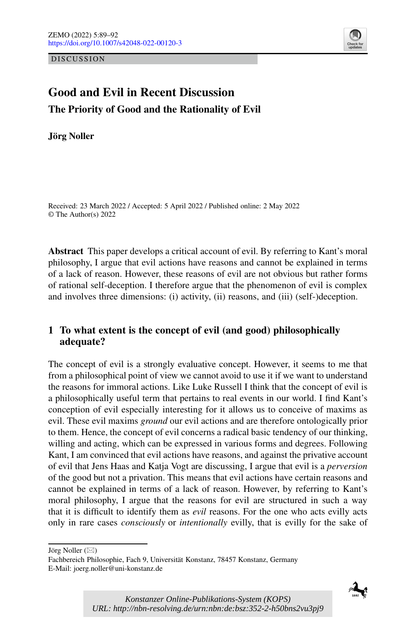DISCUSSION



# **Good and Evil in Recent Discussion The Priority of Good and the Rationality of Evil**

**Jörg Noller**

Received: 23 March 2022 / Accepted: 5 April 2022 / Published online: 2 May 2022 © The Author(s) 2022

**Abstract** This paper develops a critical account of evil. By referring to Kant's moral philosophy, I argue that evil actions have reasons and cannot be explained in terms of a lack of reason. However, these reasons of evil are not obvious but rather forms of rational self-deception. I therefore argue that the phenomenon of evil is complex and involves three dimensions: (i) activity, (ii) reasons, and (iii) (self-)deception.

## **1 To what extent is the concept of evil (and good) philosophically adequate?**

The concept of evil is a strongly evaluative concept. However, it seems to me that from a philosophical point of view we cannot avoid to use it if we want to understand the reasons for immoral actions. Like Luke Russell I think that the concept of evil is a philosophically useful term that pertains to real events in our world. I find Kant's conception of evil especially interesting for it allows us to conceive of maxims as evil. These evil maxims *ground* our evil actions and are therefore ontologically prior to them. Hence, the concept of evil concerns a radical basic tendency of our thinking, willing and acting, which can be expressed in various forms and degrees. Following Kant, I am convinced that evil actions have reasons, and against the privative account of evil that Jens Haas and Katja Vogt are discussing, I argue that evil is a *perversion* of the good but not a privation. This means that evil actions have certain reasons and cannot be explained in terms of a lack of reason. However, by referring to Kant's moral philosophy, I argue that the reasons for evil are structured in such a way that it is difficult to identify them as *evil* reasons. For the one who acts evilly acts only in rare cases *consciously* or *intentionally* evilly, that is evilly for the sake of

Jörg Noller  $(\boxtimes)$ 



Fachbereich Philosophie, Fach 9, Universität Konstanz, 78457 Konstanz, Germany E-Mail: joerg.noller@uni-konstanz.de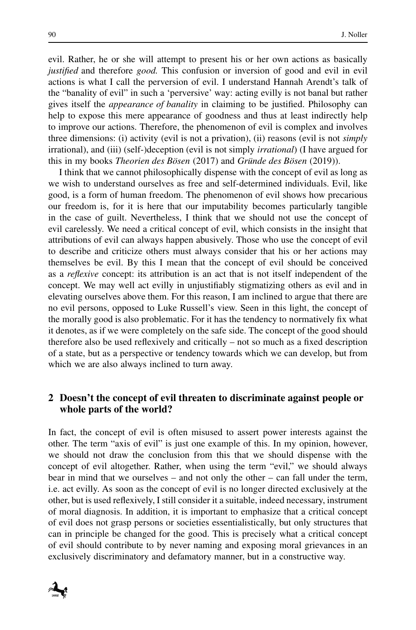evil. Rather, he or she will attempt to present his or her own actions as basically *justified* and therefore *good.* This confusion or inversion of good and evil in evil actions is what I call the perversion of evil. I understand Hannah Arendt's talk of the "banality of evil" in such a 'perversive' way: acting evilly is not banal but rather gives itself the *appearance of banality* in claiming to be justified. Philosophy can help to expose this mere appearance of goodness and thus at least indirectly help to improve our actions. Therefore, the phenomenon of evil is complex and involves three dimensions: (i) activity (evil is not a privation), (ii) reasons (evil is not *simply* irrational), and (iii) (self-)deception (evil is not simply *irrational*) (I have argued for this in my books *Theorien des Bösen* (2017) and *Gründe des Bösen* (2019)).

I think that we cannot philosophically dispense with the concept of evil as long as we wish to understand ourselves as free and self-determined individuals. Evil, like good, is a form of human freedom. The phenomenon of evil shows how precarious our freedom is, for it is here that our imputability becomes particularly tangible in the case of guilt. Nevertheless, I think that we should not use the concept of evil carelessly. We need a critical concept of evil, which consists in the insight that attributions of evil can always happen abusively. Those who use the concept of evil to describe and criticize others must always consider that his or her actions may themselves be evil. By this I mean that the concept of evil should be conceived as a *reflexive* concept: its attribution is an act that is not itself independent of the concept. We may well act evilly in unjustifiably stigmatizing others as evil and in elevating ourselves above them. For this reason, I am inclined to argue that there are no evil persons, opposed to Luke Russell's view. Seen in this light, the concept of the morally good is also problematic. For it has the tendency to normatively fix what it denotes, as if we were completely on the safe side. The concept of the good should therefore also be used reflexively and critically – not so much as a fixed description of a state, but as a perspective or tendency towards which we can develop, but from which we are also always inclined to turn away.

#### **2 Doesn't the concept of evil threaten to discriminate against people or whole parts of the world?**

In fact, the concept of evil is often misused to assert power interests against the other. The term "axis of evil" is just one example of this. In my opinion, however, we should not draw the conclusion from this that we should dispense with the concept of evil altogether. Rather, when using the term "evil," we should always bear in mind that we ourselves – and not only the other – can fall under the term, i.e. act evilly. As soon as the concept of evil is no longer directed exclusively at the other, but is used reflexively, I still consider it a suitable, indeed necessary, instrument of moral diagnosis. In addition, it is important to emphasize that a critical concept of evil does not grasp persons or societies essentialistically, but only structures that can in principle be changed for the good. This is precisely what a critical concept of evil should contribute to by never naming and exposing moral grievances in an exclusively discriminatory and defamatory manner, but in a constructive way.

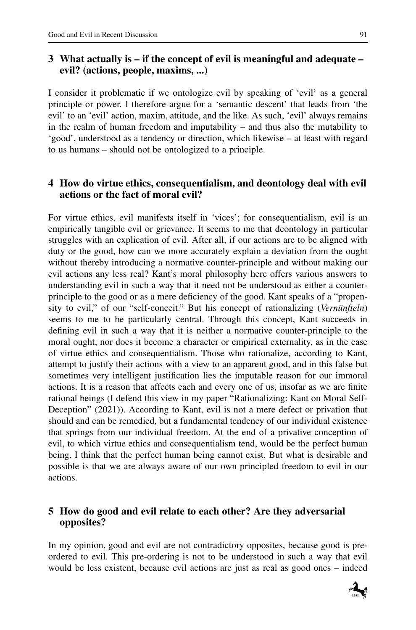## **3 What actually is – if the concept of evil is meaningful and adequate – evil? (actions, people, maxims, ...)**

I consider it problematic if we ontologize evil by speaking of 'evil' as a general principle or power. I therefore argue for a 'semantic descent' that leads from 'the evil' to an 'evil' action, maxim, attitude, and the like. As such, 'evil' always remains in the realm of human freedom and imputability – and thus also the mutability to 'good', understood as a tendency or direction, which likewise – at least with regard to us humans – should not be ontologized to a principle.

## **4 How do virtue ethics, consequentialism, and deontology deal with evil actions or the fact of moral evil?**

For virtue ethics, evil manifests itself in 'vices'; for consequentialism, evil is an empirically tangible evil or grievance. It seems to me that deontology in particular struggles with an explication of evil. After all, if our actions are to be aligned with duty or the good, how can we more accurately explain a deviation from the ought without thereby introducing a normative counter-principle and without making our evil actions any less real? Kant's moral philosophy here offers various answers to understanding evil in such a way that it need not be understood as either a counterprinciple to the good or as a mere deficiency of the good. Kant speaks of a "propensity to evil," of our "self-conceit." But his concept of rationalizing (*Vernünfteln*) seems to me to be particularly central. Through this concept, Kant succeeds in defining evil in such a way that it is neither a normative counter-principle to the moral ought, nor does it become a character or empirical externality, as in the case of virtue ethics and consequentialism. Those who rationalize, according to Kant, attempt to justify their actions with a view to an apparent good, and in this false but sometimes very intelligent justification lies the imputable reason for our immoral actions. It is a reason that affects each and every one of us, insofar as we are finite rational beings (I defend this view in my paper "Rationalizing: Kant on Moral Self-Deception" (2021)). According to Kant, evil is not a mere defect or privation that should and can be remedied, but a fundamental tendency of our individual existence that springs from our individual freedom. At the end of a privative conception of evil, to which virtue ethics and consequentialism tend, would be the perfect human being. I think that the perfect human being cannot exist. But what is desirable and possible is that we are always aware of our own principled freedom to evil in our actions.

## **5 How do good and evil relate to each other? Are they adversarial opposites?**

In my opinion, good and evil are not contradictory opposites, because good is preordered to evil. This pre-ordering is not to be understood in such a way that evil would be less existent, because evil actions are just as real as good ones – indeed